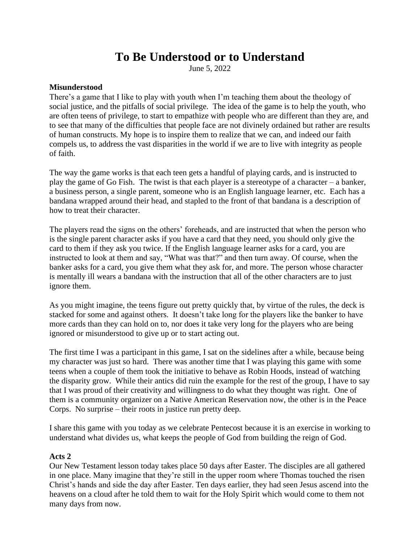# **To Be Understood or to Understand**

June 5, 2022

## **Misunderstood**

There's a game that I like to play with youth when I'm teaching them about the theology of social justice, and the pitfalls of social privilege. The idea of the game is to help the youth, who are often teens of privilege, to start to empathize with people who are different than they are, and to see that many of the difficulties that people face are not divinely ordained but rather are results of human constructs. My hope is to inspire them to realize that we can, and indeed our faith compels us, to address the vast disparities in the world if we are to live with integrity as people of faith.

The way the game works is that each teen gets a handful of playing cards, and is instructed to play the game of Go Fish. The twist is that each player is a stereotype of a character – a banker, a business person, a single parent, someone who is an English language learner, etc. Each has a bandana wrapped around their head, and stapled to the front of that bandana is a description of how to treat their character.

The players read the signs on the others' foreheads, and are instructed that when the person who is the single parent character asks if you have a card that they need, you should only give the card to them if they ask you twice. If the English language learner asks for a card, you are instructed to look at them and say, "What was that?" and then turn away. Of course, when the banker asks for a card, you give them what they ask for, and more. The person whose character is mentally ill wears a bandana with the instruction that all of the other characters are to just ignore them.

As you might imagine, the teens figure out pretty quickly that, by virtue of the rules, the deck is stacked for some and against others. It doesn't take long for the players like the banker to have more cards than they can hold on to, nor does it take very long for the players who are being ignored or misunderstood to give up or to start acting out.

The first time I was a participant in this game, I sat on the sidelines after a while, because being my character was just so hard. There was another time that I was playing this game with some teens when a couple of them took the initiative to behave as Robin Hoods, instead of watching the disparity grow. While their antics did ruin the example for the rest of the group, I have to say that I was proud of their creativity and willingness to do what they thought was right. One of them is a community organizer on a Native American Reservation now, the other is in the Peace Corps. No surprise – their roots in justice run pretty deep.

I share this game with you today as we celebrate Pentecost because it is an exercise in working to understand what divides us, what keeps the people of God from building the reign of God.

### **Acts 2**

Our New Testament lesson today takes place 50 days after Easter. The disciples are all gathered in one place. Many imagine that they're still in the upper room where Thomas touched the risen Christ's hands and side the day after Easter. Ten days earlier, they had seen Jesus ascend into the heavens on a cloud after he told them to wait for the Holy Spirit which would come to them not many days from now.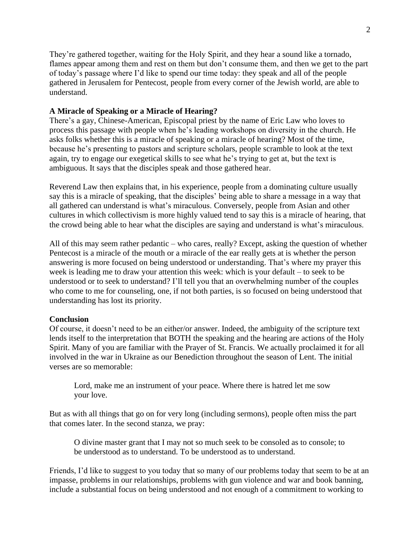They're gathered together, waiting for the Holy Spirit, and they hear a sound like a tornado, flames appear among them and rest on them but don't consume them, and then we get to the part of today's passage where I'd like to spend our time today: they speak and all of the people gathered in Jerusalem for Pentecost, people from every corner of the Jewish world, are able to understand.

#### **A Miracle of Speaking or a Miracle of Hearing?**

There's a gay, Chinese-American, Episcopal priest by the name of Eric Law who loves to process this passage with people when he's leading workshops on diversity in the church. He asks folks whether this is a miracle of speaking or a miracle of hearing? Most of the time, because he's presenting to pastors and scripture scholars, people scramble to look at the text again, try to engage our exegetical skills to see what he's trying to get at, but the text is ambiguous. It says that the disciples speak and those gathered hear.

Reverend Law then explains that, in his experience, people from a dominating culture usually say this is a miracle of speaking, that the disciples' being able to share a message in a way that all gathered can understand is what's miraculous. Conversely, people from Asian and other cultures in which collectivism is more highly valued tend to say this is a miracle of hearing, that the crowd being able to hear what the disciples are saying and understand is what's miraculous.

All of this may seem rather pedantic – who cares, really? Except, asking the question of whether Pentecost is a miracle of the mouth or a miracle of the ear really gets at is whether the person answering is more focused on being understood or understanding. That's where my prayer this week is leading me to draw your attention this week: which is your default – to seek to be understood or to seek to understand? I'll tell you that an overwhelming number of the couples who come to me for counseling, one, if not both parties, is so focused on being understood that understanding has lost its priority.

#### **Conclusion**

Of course, it doesn't need to be an either/or answer. Indeed, the ambiguity of the scripture text lends itself to the interpretation that BOTH the speaking and the hearing are actions of the Holy Spirit. Many of you are familiar with the Prayer of St. Francis. We actually proclaimed it for all involved in the war in Ukraine as our Benediction throughout the season of Lent. The initial verses are so memorable:

Lord, make me an instrument of your peace. Where there is hatred let me sow your love.

But as with all things that go on for very long (including sermons), people often miss the part that comes later. In the second stanza, we pray:

O divine master grant that I may not so much seek to be consoled as to console; to be understood as to understand. To be understood as to understand.

Friends, I'd like to suggest to you today that so many of our problems today that seem to be at an impasse, problems in our relationships, problems with gun violence and war and book banning, include a substantial focus on being understood and not enough of a commitment to working to